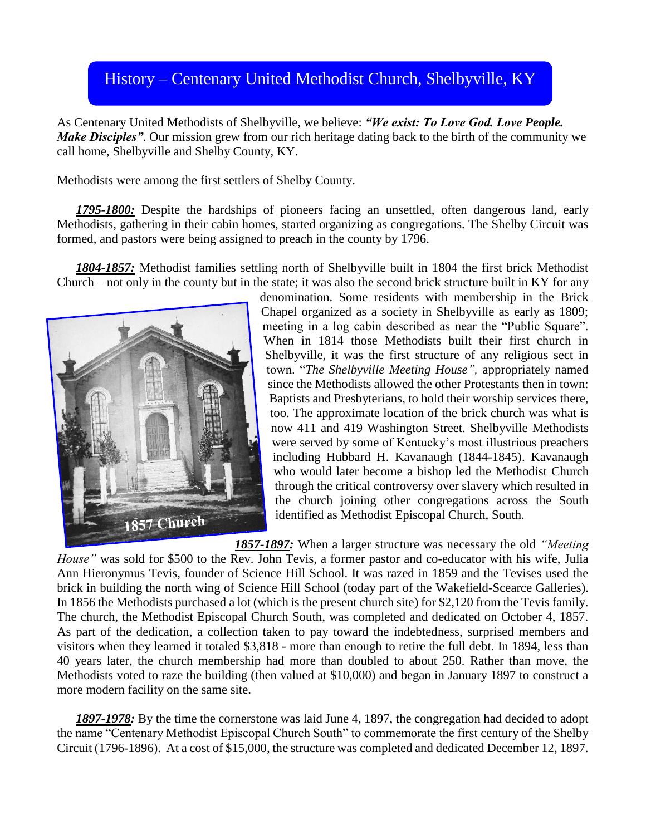## History – Centenary United Methodist Church, Shelbyville, KY History – Centenary United Methodist Church, Shelbyville, KY

As Centenary United Methodists of Shelbyville, we believe: *"We exist: To Love God. Love People. Make Disciples"*. Our mission grew from our rich heritage dating back to the birth of the community we call home, Shelbyville and Shelby County, KY.

Methodists were among the first settlers of Shelby County.

*1795-1800:* Despite the hardships of pioneers facing an unsettled, often dangerous land, early Methodists, gathering in their cabin homes, started organizing as congregations. The Shelby Circuit was formed, and pastors were being assigned to preach in the county by 1796.

*1804-1857:* Methodist families settling north of Shelbyville built in 1804 the first brick Methodist Church – not only in the county but in the state; it was also the second brick structure built in KY for any



denomination. Some residents with membership in the Brick Chapel organized as a society in Shelbyville as early as 1809; meeting in a log cabin described as near the "Public Square". When in 1814 those Methodists built their first church in Shelbyville, it was the first structure of any religious sect in town. "*The Shelbyville Meeting House",* appropriately named since the Methodists allowed the other Protestants then in town: Baptists and Presbyterians, to hold their worship services there, too. The approximate location of the brick church was what is now 411 and 419 Washington Street. Shelbyville Methodists were served by some of Kentucky's most illustrious preachers including Hubbard H. Kavanaugh (1844-1845). Kavanaugh who would later become a bishop led the Methodist Church through the critical controversy over slavery which resulted in the church joining other congregations across the South identified as Methodist Episcopal Church, South.

*1857-1897:* When a larger structure was necessary the old *"Meeting House"* was sold for \$500 to the Rev. John Tevis, a former pastor and co-educator with his wife, Julia Ann Hieronymus Tevis, founder of Science Hill School. It was razed in 1859 and the Tevises used the brick in building the north wing of Science Hill School (today part of the Wakefield-Scearce Galleries). In 1856 the Methodists purchased a lot (which is the present church site) for \$2,120 from the Tevis family. The church, the Methodist Episcopal Church South, was completed and dedicated on October 4, 1857. As part of the dedication, a collection taken to pay toward the indebtedness, surprised members and visitors when they learned it totaled \$3,818 - more than enough to retire the full debt. In 1894, less than 40 years later, the church membership had more than doubled to about 250. Rather than move, the Methodists voted to raze the building (then valued at \$10,000) and began in January 1897 to construct a more modern facility on the same site.

*1897-1978:* By the time the cornerstone was laid June 4, 1897, the congregation had decided to adopt the name "Centenary Methodist Episcopal Church South" to commemorate the first century of the Shelby Circuit (1796-1896). At a cost of \$15,000, the structure was completed and dedicated December 12, 1897.